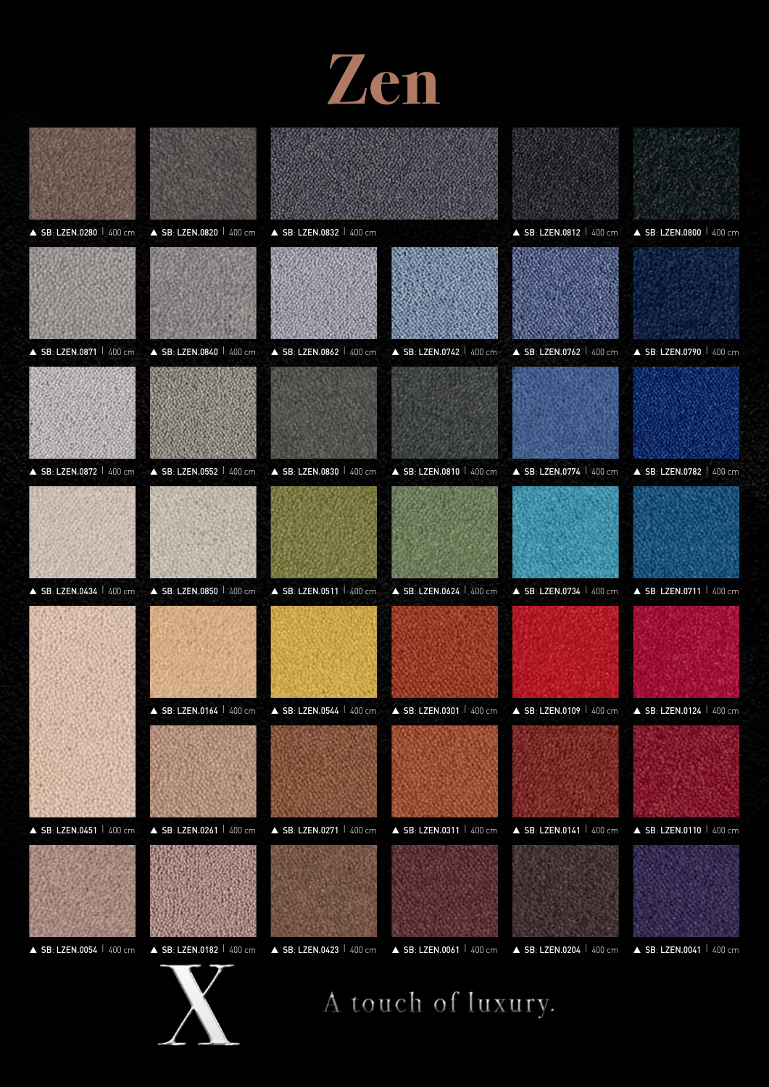



A touch of luxury.